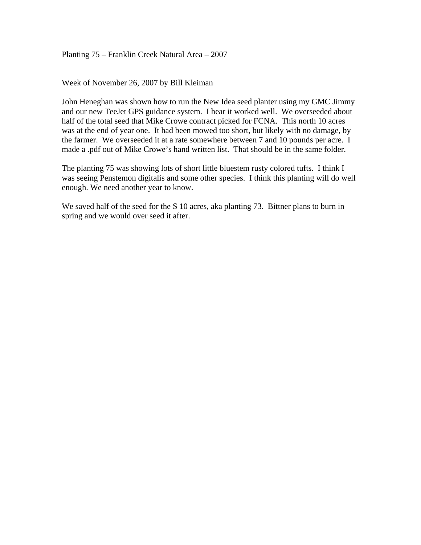Planting 75 – Franklin Creek Natural Area – 2007

Week of November 26, 2007 by Bill Kleiman

John Heneghan was shown how to run the New Idea seed planter using my GMC Jimmy and our new TeeJet GPS guidance system. I hear it worked well. We overseeded about half of the total seed that Mike Crowe contract picked for FCNA. This north 10 acres was at the end of year one. It had been mowed too short, but likely with no damage, by the farmer. We overseeded it at a rate somewhere between 7 and 10 pounds per acre. I made a .pdf out of Mike Crowe's hand written list. That should be in the same folder.

The planting 75 was showing lots of short little bluestem rusty colored tufts. I think I was seeing Penstemon digitalis and some other species. I think this planting will do well enough. We need another year to know.

We saved half of the seed for the S 10 acres, aka planting 73. Bittner plans to burn in spring and we would over seed it after.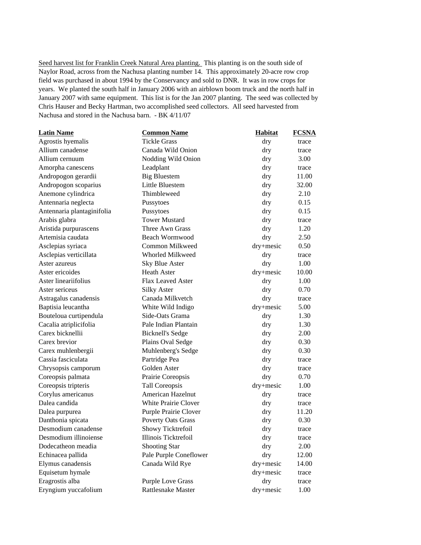Seed harvest list for Franklin Creek Natural Area planting. This planting is on the south side of Naylor Road, across from the Nachusa planting number 14. This approximately 20-acre row crop field was purchased in about 1994 by the Conservancy and sold to DNR. It was in row crops for years. We planted the south half in January 2006 with an airblown boom truck and the north half in January 2007 with same equipment. This list is for the Jan 2007 planting. The seed was collected by Chris Hauser and Becky Hartman, two accomplished seed collectors. All seed harvested from Nachusa and stored in the Nachusa barn. - BK 4/11/07

| <b>Latin Name</b>          | <b>Common Name</b>          | <b>Habitat</b> | <b>FCSNA</b> |
|----------------------------|-----------------------------|----------------|--------------|
| Agrostis hyemalis          | <b>Tickle Grass</b>         | dry            | trace        |
| Allium canadense           | Canada Wild Onion           | dry            | trace        |
| Allium cernuum             | Nodding Wild Onion          | dry            | 3.00         |
| Amorpha canescens          | Leadplant                   | dry            | trace        |
| Andropogon gerardii        | <b>Big Bluestem</b>         | dry            | 11.00        |
| Andropogon scoparius       | Little Bluestem             | dry            | 32.00        |
| Anemone cylindrica         | Thimbleweed                 | dry            | 2.10         |
| Antennaria neglecta        | Pussytoes                   | dry            | 0.15         |
| Antennaria plantaginifolia | Pussytoes                   | dry            | 0.15         |
| Arabis glabra              | <b>Tower Mustard</b>        | dry            | trace        |
| Aristida purpurascens      | Three Awn Grass             | dry            | 1.20         |
| Artemisia caudata          | Beach Wormwood              | dry            | 2.50         |
| Asclepias syriaca          | Common Milkweed             | dry+mesic      | 0.50         |
| Asclepias verticillata     | Whorled Milkweed            | dry            | trace        |
| Aster azureus              | <b>Sky Blue Aster</b>       | dry            | 1.00         |
| Aster ericoides            | <b>Heath Aster</b>          | dry+mesic      | 10.00        |
| Aster lineariifolius       | Flax Leaved Aster           | dry            | 1.00         |
| Aster sericeus             | <b>Silky Aster</b>          | dry            | 0.70         |
| Astragalus canadensis      | Canada Milkvetch            | dry            | trace        |
| Baptisia leucantha         | White Wild Indigo           | dry+mesic      | 5.00         |
| Bouteloua curtipendula     | Side-Oats Grama             | dry            | 1.30         |
| Cacalia atriplicifolia     | Pale Indian Plantain        | dry            | 1.30         |
| Carex bicknellii           | <b>Bicknell's Sedge</b>     | dry            | 2.00         |
| Carex brevior              | Plains Oval Sedge           | dry            | 0.30         |
| Carex muhlenbergii         | Muhlenberg's Sedge          | dry            | 0.30         |
| Cassia fasciculata         | Partridge Pea               | dry            | trace        |
| Chrysopsis camporum        | Golden Aster                | dry            | trace        |
| Coreopsis palmata          | Prairie Coreopsis           | dry            | 0.70         |
| Coreopsis tripteris        | Tall Coreopsis              | dry+mesic      | 1.00         |
| Corylus americanus         | American Hazelnut           | dry            | trace        |
| Dalea candida              | <b>White Prairie Clover</b> | dry            | trace        |
| Dalea purpurea             | Purple Prairie Clover       | dry            | 11.20        |
| Danthonia spicata          | <b>Poverty Oats Grass</b>   | dry            | 0.30         |
| Desmodium canadense        | Showy Ticktrefoil           | dry            | trace        |
| Desmodium illinoiense      | Illinois Ticktrefoil        | dry            | trace        |
| Dodecatheon meadia         | <b>Shooting Star</b>        | dry            | 2.00         |
| Echinacea pallida          | Pale Purple Coneflower      | dry            | 12.00        |
| Elymus canadensis          | Canada Wild Rye             | dry+mesic      | 14.00        |
| Equisetum hymale           |                             | dry+mesic      | trace        |
| Eragrostis alba            | <b>Purple Love Grass</b>    | dry            | trace        |
| Eryngium yuccafolium       | Rattlesnake Master          | dry+mesic      | 1.00         |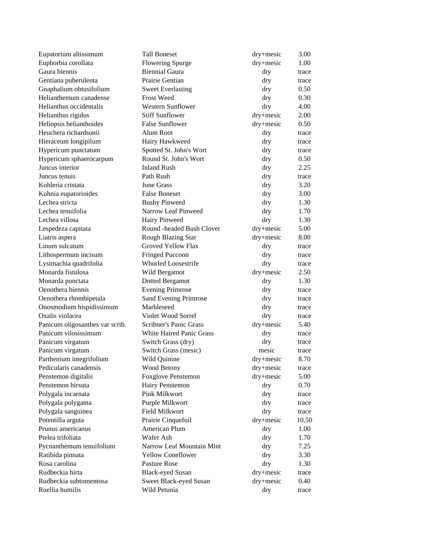| Eupatorium altissimum           | <b>Tall Boneset</b>             | dry+mesic     | 3.00  |
|---------------------------------|---------------------------------|---------------|-------|
| Euphorbia corollata             | <b>Flowering Spurge</b>         | dry+mesic     | 1.00  |
| Gaura biennis                   | <b>Biennial Gaura</b>           | dry           | trace |
| Gentiana puberulenta            | Prairie Gentian                 | dry           | trace |
| Gnaphalium obtusifolium         | <b>Sweet Everlasting</b>        | dry           | 0.50  |
| Helianthemum canadense          | <b>Frost Weed</b>               | dry           | 0.30  |
| Helianthus occidentalis         | <b>Western Sunflower</b>        | dry           | 4.00  |
| Helianthus rigidus              | <b>Stiff Sunflower</b>          | dry+mesic     | 2.00  |
| Heliopsis helianthoides         | <b>False Sunflower</b>          | $dry + mesic$ | 0.50  |
| Heuchera richardsonii           | Alum Root                       | dry           | trace |
| Hieraceum longipilum            | Hairy Hawkweed                  | dry           | trace |
| Hypericum punctatum             | Spotted St. John's Wort         | dry           | trace |
| Hypericum sphaerocarpum         | Round St. John's Wort           | dry           | 0.50  |
| Juncus interior                 | <b>Inland Rush</b>              | dry           | 2.25  |
| Juncus tenuis                   | Path Rush                       | dry           | trace |
| Kohleria cristata               | <b>June Grass</b>               | dry           | 3.20  |
| Kuhnia eupatorioides            | <b>False Boneset</b>            | dry           | 3.00  |
| Lechea stricta                  | <b>Bushy Pinweed</b>            | dry           | 1.30  |
| Lechea tenuifolia               | Narrow Leaf Pinweed             | dry           | 1.70  |
| Lechea villosa                  | Hairy Pinweed                   | dry           | 1.30  |
| Lespedeza capitata              | Round -headed Bush Clover       | $dry + mesic$ | 5.00  |
| Liatris aspera                  | Rough Blazing Star              | $dry + mesic$ | 8.00  |
| Linum sulcatum                  | Groved Yellow Flax              | dry           | trace |
| Lithospermum incisum            | <b>Fringed Puccoon</b>          | dry           | trace |
| Lysimachia quadrifolia          | <b>Whorled Loosestrife</b>      | dry           | trace |
| Monarda fistulosa               | Wild Bergamot                   | $dry + mesic$ | 2.50  |
| Monarda punctata                | Dotted Bergamot                 | dry           | 1.30  |
| Oenothera biennis               | <b>Evening Primrose</b>         | dry           | trace |
| Oenothera rhombipetala          | Sand Evening Primrose           | dry           | trace |
| Onosmodium hispidissimum        | Marbleseed                      | dry           | trace |
| Oxalis violacea                 | Violet Wood Sorrel              | dry           | trace |
| Panicum oligosanthes var scrib. | Scribner's Panic Grass          | dry+mesic     | 5.40  |
| Panicum vilosissimum            | <b>White Haired Panic Grass</b> | dry           | trace |
| Panicum virgatum                | Switch Grass (dry)              | dry           | trace |
| Panicum virgatum                | Switch Grass (mesic)            | mesic         | trace |
| Parthenium integrifolium        | Wild Quinine                    | dry+mesic     | 8.70  |
| Pedicularis canadensis          | <b>Wood Betony</b>              | dry+mesic     | trace |
| Penstemon digitalis             | <b>Foxglove Penstemon</b>       | dry+mesic     | 5.00  |
| Penstemon hirsuta               | Hairy Penstemon                 | dry           | 0.70  |
| Polygala incarnata              | <b>Pink Milkwort</b>            | dry           | trace |
| Polygala polygama               | Purple Milkwort                 | dry           | trace |
| Polygala sanguinea              | Field Milkwort                  | dry           | trace |
| Potentilla arguta               | Prairie Cinquefoil              | dry+mesic     | 10.50 |
| Prunus americanus               | American Plum                   | dry           | 1.00  |
| Ptelea trifoliata               | Wafer Ash                       | dry           | 1.70  |
| Pycnanthemum tenuifolium        | Narrow Leaf Mountain Mint       | dry           | 7.25  |
| Ratibida pinnata                | <b>Yellow Coneflower</b>        | dry           | 3.30  |
| Rosa carolina                   | <b>Pasture Rose</b>             | dry           | 1.30  |
| Rudbeckia hirta                 | <b>Black-eyed Susan</b>         | dry+mesic     | trace |
| Rudbeckia subtomentosa          | Sweet Black-eyed Susan          | $dry + mesic$ | 0.40  |
| Ruellia humilis                 | Wild Petunia                    | dry           | trace |
|                                 |                                 |               |       |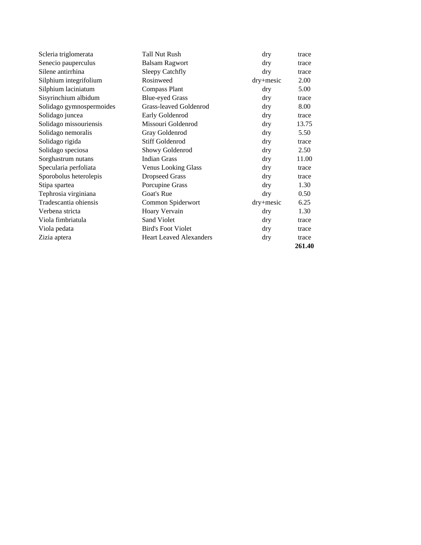| Scleria triglomerata     | Tall Nut Rush                  | dry           | trace  |
|--------------------------|--------------------------------|---------------|--------|
| Senecio pauperculus      | <b>Balsam Ragwort</b>          | dry           | trace  |
| Silene antirrhina        | <b>Sleepy Catchfly</b>         | dry           | trace  |
| Silphium integrifolium   | Rosinweed                      | $dry + mesic$ | 2.00   |
| Silphium laciniatum      | <b>Compass Plant</b>           | dry           | 5.00   |
| Sisyrinchium albidum     | <b>Blue-eyed Grass</b>         | dry           | trace  |
| Solidago gymnospermoides | Grass-leaved Goldenrod         | dry           | 8.00   |
| Solidago juncea          | Early Goldenrod                | dry           | trace  |
| Solidago missouriensis   | Missouri Goldenrod             | dry           | 13.75  |
| Solidago nemoralis       | Gray Goldenrod                 | dry           | 5.50   |
| Solidago rigida          | <b>Stiff Goldenrod</b>         | dry           | trace  |
| Solidago speciosa        | Showy Goldenrod                | dry           | 2.50   |
| Sorghastrum nutans       | <b>Indian Grass</b>            | dry           | 11.00  |
| Specularia perfoliata    | <b>Venus Looking Glass</b>     | dry           | trace  |
| Sporobolus heterolepis   | <b>Dropseed Grass</b>          | dry           | trace  |
| Stipa spartea            | Porcupine Grass                | dry           | 1.30   |
| Tephrosia virginiana     | Goat's Rue                     | dry           | 0.50   |
| Tradescantia ohiensis    | Common Spiderwort              | $dry + mesic$ | 6.25   |
| Verbena stricta          | Hoary Vervain                  | dry           | 1.30   |
| Viola fimbriatula        | Sand Violet                    | dry           | trace  |
| Viola pedata             | <b>Bird's Foot Violet</b>      | dry           | trace  |
| Zizia aptera             | <b>Heart Leaved Alexanders</b> | dry           | trace  |
|                          |                                |               | 261.40 |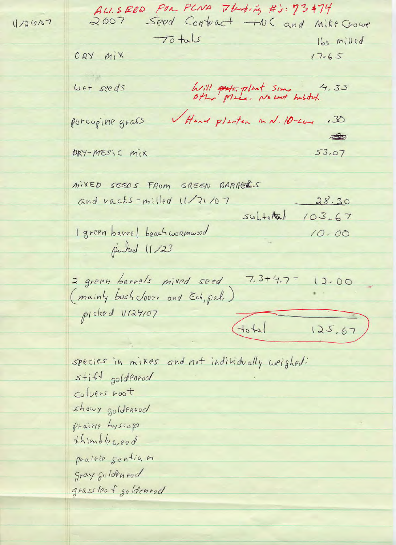ALLSEED FOR FLNA 7tenting #3:73#74 Seed Contract - NC and Mike Crowe 11/24/07  $70 + 15$ Ibs milled DRY MIX  $17.65$ Wet seeds Will potented Some huston.  $4,35$ Head plasten in N. 10-Los porcopine grass  $.30$  $\triangle$ DRY-MESIC MIX  $53,07$ MIXED SEEDS FROM GREEN BARRELS and vacks-milled 11/21/07  $28.30$  $506t_0t$  $103.67$ I green barrel beach workmund  $10.00$ puked 11/23  $7,3+4,7=$ 2 green barrels mixed seed 12.00 (mainly bush clover and Ech, pal,) picked 11/24/07  $(10 + a)$  $125, 67$ species in mikes and not individually weighed:  $s + i + 1$  gold Phrod Colvers root showy goldencod Prairie Lyssop thimbleweed prairie sentian gray goldenrod grassleaf goldenrod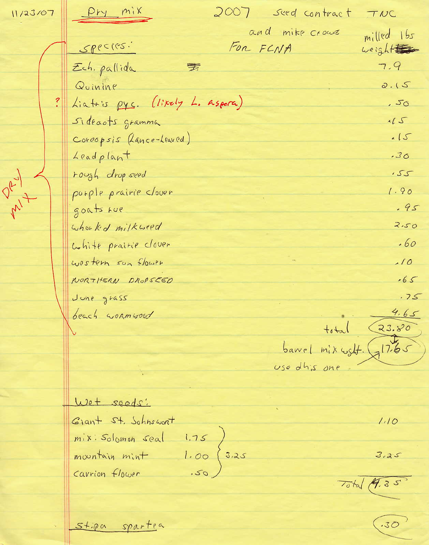<u>Pry mix</u> 2007 Seed contract TNC 11/23/07 and mike crows milled 165  $SPPC(195.1)$ FOR FCNA weight 7.9 Ech. pallida 季 Quinine  $2.15$ Liatris pys. (likely L. Aspera)  $.50$ Sideaots gramma  $115$ Coreopsis (Lance-Leaved)  $15$ Leadplant  $.30$ DRY rough drop seed  $.55$ purple prairie clover  $1.90$  $m^2$  $.95$ goats Lue whomled milkweed  $2.50$  $.60$ White prairie clover  $10$ western son flower NORTHERN DROPSEED  $.65$ June grass  $.75$  $4.65$ beach wormwood  $+$ <sup>4, 4</sup>d<br>
barrel mix usht. 17.65<br>
use dhis one Wet seeds:  $1.10$ Giant St. Schnswort  $\begin{pmatrix} 1.75 \\ 1.00 \\ .50 \end{pmatrix}$ 3.25 mix. Solomon seal  $3.25$ mountain mint Carrion flower Total 19.35

St.pa spartea

 $\sqrt{.30}$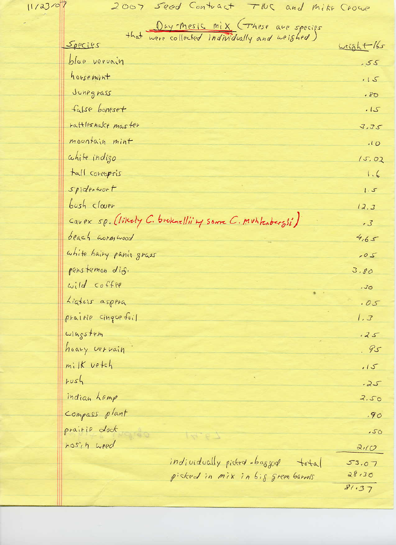$11/23/07$ 

2007 Seed Contract TWC and Mike Crown

|                         | that were collected individually and weighed)           |                  |
|-------------------------|---------------------------------------------------------|------------------|
| Species                 |                                                         | weight 155       |
| blue vervain            |                                                         | .55              |
| housemint               |                                                         | .15              |
| Junegrass               |                                                         | $-80$            |
| false boneset           |                                                         | .15              |
| rattleshakt master      |                                                         | 3.35             |
| mountain mint           |                                                         | .10              |
| chite indigo            |                                                         | 15.02            |
| tall coreopsis          |                                                         | 1.6              |
| spiderwort              |                                                         | 1.5              |
| $bosh$ clover           |                                                         | 12.3             |
|                         | Cavex sp. (likely C. broknelli' my some C. muhkabarsi') | .3               |
| beach wormwood          |                                                         | 4,65             |
| white hairy panie grass |                                                         | $-05$            |
| penstemon dis.          |                                                         | 3.80             |
| wild coffee             |                                                         | .30 <sub>°</sub> |
| Liatris aspera          |                                                         | .05              |
| prairie cinque foil     |                                                         | 1, 3             |
| wingstem                |                                                         | .25              |
| hoary vervain           |                                                         | .95              |
| $m$ ilk vetch           |                                                         | .15              |
| rvsh                    |                                                         | $-25$            |
| indian Lemp             |                                                         | 2.50             |
| Compass plant           |                                                         | .90              |
| prairie doct            | $\frac{1}{2}$                                           | .50              |
| rosin weed              |                                                         | 210              |
|                         | individually picked baggod total                        | 53.07            |
|                         | picked in mix in big green barrels                      | 28,30            |
|                         |                                                         | 81.37            |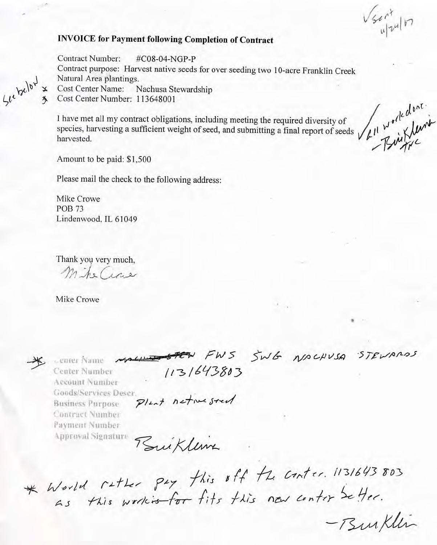$\sqrt{3}ar^{4}$ 

## **INVOICE for Payment following Completion of Contract**

**Contract Number:** #C08-04-NGP-P Contract purpose: Harvest native seeds for over seeding two 10-acre Franklin Creek Natural Area plantings. **Cost Center Name:** Nachusa Stewardship Cost Center Number: 113648001

The species, harvesting a sufficient weight of seed, and submitting a final report of seeds  $\sqrt{\frac{\mu^4}{\mu^4}}$   $\frac{d^{b_0 t}}{d \mu^4}$ .<br>Amount to be paid: \$1.500

Please mail the check to the following address:

Mike Crowe **POB 73** Lindenwood, IL 61049

Thank you very much, M. he Cire

Mike Crowe

See below

center Name Center Number Account Number Goods/Services Deser **Business Purpose** Contract Number Payment Number **Approval Signature** 

MALLIER FWS SWG NACHUSA STEVARDS 1131643803

Plant netwested

Buikleux

\* Would rather pay this off the conter. 1131643 803<br>as this workis for fits this new conter beffer.

- Burklin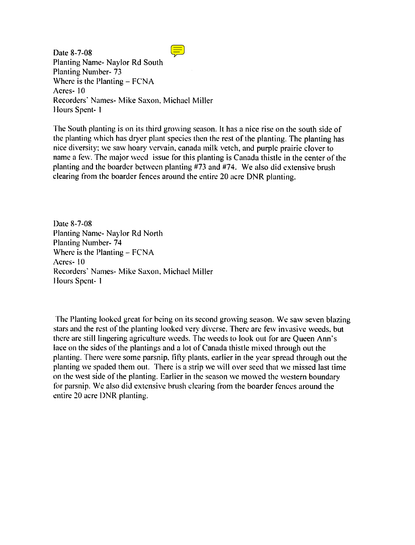$\equiv$ Date 8-7-08 Planting Name- Naylor Rd South **Planting Number-73** Where is the Planting  $-$  FCNA Acres-10 Recorders' Names- Mike Saxon, Michael Miller Hours Spent-1

The South planting is on its third growing season. It has a nice rise on the south side of the planting which has dryer plant species then the rest of the planting. The planting has nice diversity; we saw hoary vervain, canada milk vetch, and purple prairie clover to name a few. The major weed issue for this planting is Canada thistle in the center of the planting and the boarder between planting #73 and #74. We also did extensive brush clearing from the boarder fences around the entire 20 acre DNR planting.

Date 8-7-08 Planting Name- Naylor Rd North **Planting Number-74** Where is the Planting  $-$  FCNA Acres-10 Recorders' Names- Mike Saxon, Michael Miller Hours Spent-1

The Planting looked great for being on its second growing season. We saw seven blazing stars and the rest of the planting looked very diverse. There are few invasive weeds, but there are still lingering agriculture weeds. The weeds to look out for are Oueen Ann's lace on the sides of the plantings and a lot of Canada thistle mixed through out the planting. There were some parsnip, fifty plants, earlier in the year spread through out the planting we spaded them out. There is a strip we will over seed that we missed last time on the west side of the planting. Earlier in the season we mowed the western boundary for parsnip. We also did extensive brush clearing from the boarder fences around the entire 20 acre DNR planting.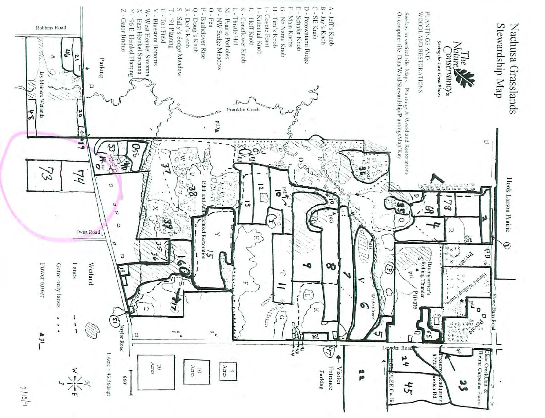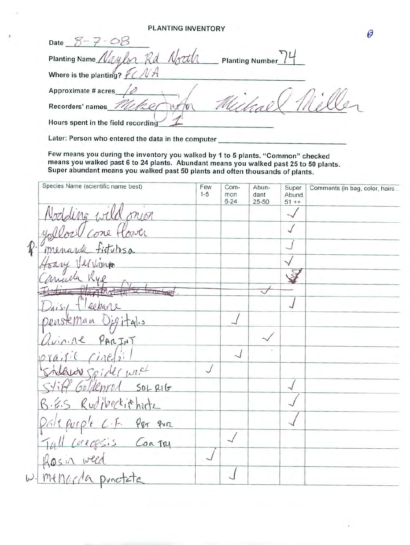## **PLANTING INVENTORY**

0 Date  $3 - 7 - 08$ Planting Name / Vau **Planting Number** VA Where is the planting?  $FC$ Approximate # acres Recorders' names 7m Hours spent in the field recording

Later: Person who entered the data in the computer

Few means you during the inventory you walked by 1 to 5 plants. "Common" checked means you walked past 6 to 24 plants. Abundant means you walked past 25 to 50 plants. Super abundant means you walked past 50 plants and often thousands of plants.

|                     | Species Name (scientific name best) | Few<br>$1 - 5$ | Com-<br>mon<br>$6 - 24$ | Abun-<br>dant<br>25-50 | Super<br>Abund.<br>$51 + +$ | Comments (in bag, color, hairs |
|---------------------|-------------------------------------|----------------|-------------------------|------------------------|-----------------------------|--------------------------------|
|                     | Nodding wild onion                  |                |                         |                        |                             |                                |
|                     | yollow Cone flower                  |                |                         |                        |                             |                                |
| $\hat{\mathcal{R}}$ | menarda fistulosa                   |                |                         |                        |                             |                                |
|                     | frany Vervann                       |                |                         |                        |                             |                                |
|                     | much Rye                            |                |                         |                        |                             |                                |
|                     |                                     |                |                         |                        |                             |                                |
|                     | Drisy Fleebane                      |                |                         |                        |                             |                                |
|                     | pensteman Digital.s                 |                |                         |                        |                             |                                |
|                     | avinine PARINT                      |                |                         |                        |                             |                                |
|                     | prairie cinedi                      |                |                         |                        |                             |                                |
|                     |                                     |                |                         |                        |                             |                                |
|                     | Stiff Goldenrod SOLRIG              |                |                         |                        |                             |                                |
|                     | B.E.S Rudibeckithitz                |                |                         |                        |                             |                                |
|                     | Pale purple C.F. Per qua            |                |                         |                        |                             |                                |
|                     | Tall corressis Contry               |                |                         |                        |                             |                                |
|                     | Rosin weed                          |                |                         |                        |                             |                                |
|                     | W. menurda punctate                 |                |                         |                        |                             |                                |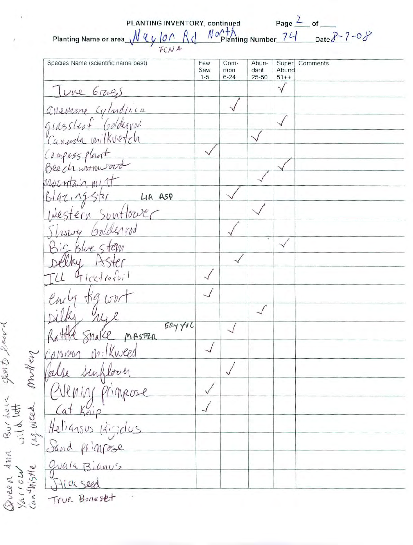| Species Name (scientific name best)     | Few<br>Saw | Com-<br>mon | Abun-<br>dant | Super<br>Abund      | Comments |
|-----------------------------------------|------------|-------------|---------------|---------------------|----------|
| June Grass                              | $1 - 5$    | $6 - 24$    | 25-50         | $51++$<br>$\sqrt{}$ |          |
| avenue cylindrica                       |            |             |               |                     |          |
|                                         |            |             |               |                     |          |
| grassleaf Golderrod<br>Canada milkvetch |            |             |               |                     |          |
|                                         |            |             |               |                     |          |
| Compass plant                           |            |             |               |                     |          |
| Mountain mit                            |            |             |               |                     |          |
| Blazingster Lin ASP                     |            |             |               |                     |          |
|                                         |            |             |               |                     |          |
| Thomy Goldenrod                         |            |             |               |                     |          |
| is Blue stem                            |            |             |               |                     |          |
|                                         |            |             |               |                     |          |
| 4 icktiefoil                            |            |             |               |                     |          |
|                                         |            |             |               |                     |          |
|                                         |            |             |               |                     |          |
| ERY YUC<br>Snake MASTER                 |            |             |               |                     |          |
| milkweed<br>Common                      |            |             |               |                     |          |
| inflorer<br>Valse                       |            |             |               |                     |          |
|                                         |            |             |               |                     |          |
| Primeose                                |            |             |               |                     |          |
| Cat Kai                                 |            |             |               |                     |          |
| Heliansus<br>Ricidus                    |            |             |               |                     |          |
| Sand primpose                           |            |             |               |                     |          |
| quala Bianus                            |            |             |               |                     |          |
| Stick seed                              |            |             |               |                     |          |

Queen Ann Burdouk sports learn<br>Yarrou wild lett<br>Canthistle rus week Mullen

 $\overline{\phantom{a}}$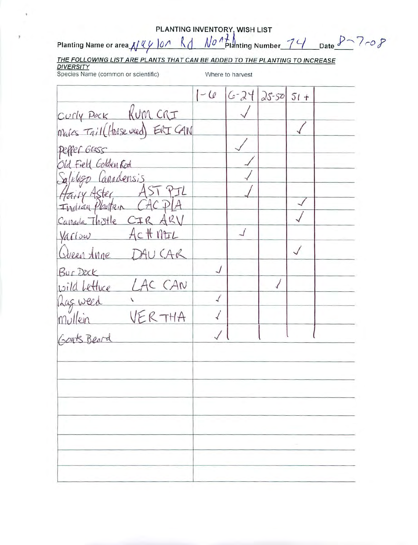| $25 - 50$<br>$6 - 24$<br>Curly POCK KUM CRI<br>mares Tail (Horse wed) ERICAN<br>PEPPER Grass<br>Sld Field Golden Rod<br>Canadensis<br>Airy Aster<br>CIRAK<br>$A$ ctt $MTL$<br>AU CAR<br>Bur Dock<br>LAC CAN<br>wild Lettuce<br>Las weed<br>√<br>Goats Beard | Species Name (common or scientific) |      | Where to harvest |        |  |
|-------------------------------------------------------------------------------------------------------------------------------------------------------------------------------------------------------------------------------------------------------------|-------------------------------------|------|------------------|--------|--|
|                                                                                                                                                                                                                                                             |                                     | $-6$ |                  | $51 +$ |  |
|                                                                                                                                                                                                                                                             |                                     |      |                  |        |  |
|                                                                                                                                                                                                                                                             |                                     |      |                  |        |  |
|                                                                                                                                                                                                                                                             |                                     |      |                  |        |  |
|                                                                                                                                                                                                                                                             |                                     |      |                  |        |  |
|                                                                                                                                                                                                                                                             |                                     |      |                  |        |  |
|                                                                                                                                                                                                                                                             |                                     |      |                  |        |  |
|                                                                                                                                                                                                                                                             | Indian Planta                       |      |                  |        |  |
|                                                                                                                                                                                                                                                             | Canada Thistle                      |      |                  |        |  |
|                                                                                                                                                                                                                                                             | Varlow                              |      |                  |        |  |
|                                                                                                                                                                                                                                                             | Queen Anne                          |      |                  |        |  |
|                                                                                                                                                                                                                                                             |                                     |      |                  |        |  |
|                                                                                                                                                                                                                                                             |                                     |      |                  |        |  |
|                                                                                                                                                                                                                                                             |                                     |      |                  |        |  |
|                                                                                                                                                                                                                                                             |                                     |      |                  |        |  |
|                                                                                                                                                                                                                                                             |                                     |      |                  |        |  |
|                                                                                                                                                                                                                                                             |                                     |      |                  |        |  |
|                                                                                                                                                                                                                                                             |                                     |      |                  |        |  |
|                                                                                                                                                                                                                                                             |                                     |      |                  |        |  |
|                                                                                                                                                                                                                                                             |                                     |      |                  |        |  |
|                                                                                                                                                                                                                                                             |                                     |      |                  |        |  |
|                                                                                                                                                                                                                                                             |                                     |      |                  |        |  |
|                                                                                                                                                                                                                                                             |                                     |      |                  |        |  |
|                                                                                                                                                                                                                                                             |                                     |      |                  |        |  |
|                                                                                                                                                                                                                                                             |                                     |      |                  |        |  |
|                                                                                                                                                                                                                                                             |                                     |      |                  |        |  |